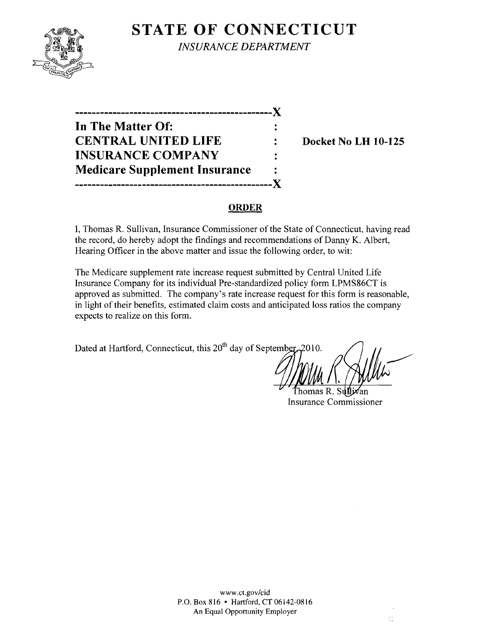# **STATE OF CONNECTICUT**



*INSURANCE DEPARTMENT* 

**-----------------------------------------------)( In The Matter Of: CENTRAL UNITED LIFE : Docket No LH 10-125 INSURANCE COMPANY Medicare Supplement Insurance -----------------------------------------------)(** 

#### **ORDER**

I, Thomas R. Sullivan, Insurance Commissioner of the State of Connecticut, having read the record, do hereby adopt the findings and recommendations of Danny K. Albert, Hearing Officer in the above matter and issue the following order, to wit:

The Medicare supplement rate increase request submitted by Central United Life Insurance Company for its individual Pre-standardized policy form LPMS86CT is approved as submitted. The company's rate increase request for this form is reasonable, in light of their benefits, estimated claim costs and anticipated loss ratios the company expects to realize on this form.

Dated at Hartford, Connecticut, this  $20^{th}$  day of September, 2010.

άt

'homas R. Sılfl Insurance Commissioner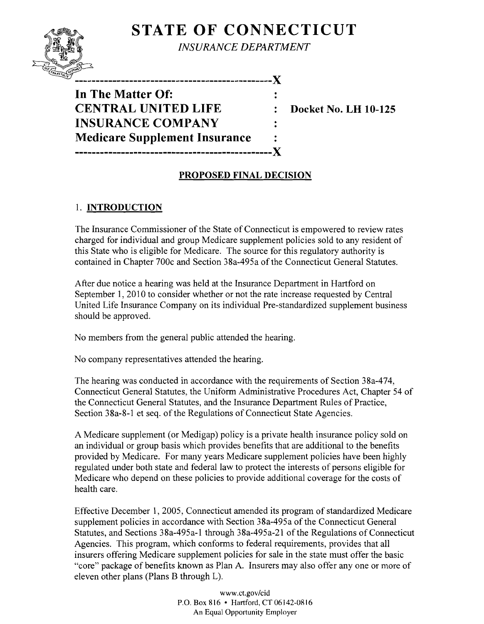## **STATE OF CONNECTICUT**



*INSURANCE DEPARTMENT* 

-------------------------------X

**In The Matter Of: CENTRAL UNITED LIFE : Docket No. LH 10-125 INSURANCE COMPANY Medicare Supplement Insurance -----------------------------------------------X** 

### **PROPOSED FINAL DECISION**

### 1. **INTRODUCTION**

The Insurance Commissioner of the State of Connecticut is empowered to review rates charged for individual and group Medicare supplement policies sold to any resident of this State who is eligible for Medicare. The source for this regulatory authority is contained in Chapter 700c and Section 38a-495a of the Connecticut General Statutes.

After due notice a hearing was held at the Insurance Department in Hartford on September 1, 2010 to consider whether or not the rate increase requested by Central United Life Insurance Company on its individual Pre-standardized supplement business should be approved.

No members from the general public attended the hearing.

No company representatives attended the hearing.

The hearing was conducted in accordance with the requirements of Section 38a-474, Connecticut General Statutes, the Uniform Administrative Procedures Act, Chapter 54 of the Connecticut General Statutes, and the Insurance Department Rules of Practice, Section 38a-8-1 et seq. of the Regulations of Connecticut State Agencies.

A Medicare supplement (or Medigap) policy is a private health insurance policy sold on an individual or group basis which provides benefits that are additional to the benefits provided by Medicare. For many years Medicare supplement policies have been highly regulated under both state and federal law to protect the interests of persons eligible for Medicare who depend on these policies to provide additional coverage for the costs of health care.

Effective December 1, 2005, Connecticut amended its program of standardized Medicare supplement policies in accordance with Section 38a-495a of the Connecticut General Statutes, and Sections 38a-495a-1 through 38a-495a-21 of the Regulations of Connecticut Agencies. This program, which conforms to federal requirements, provides that all insurers offering Medicare supplement policies for sale in the state must offer the basic "core" package of benefits known as Plan A. Insurers may also offer anyone or more of eleven other plans (Plans B through L).

> www.ct.gov/cid P.O. Box 816 • Hartford, CT 06142-0816 An Equal Opportunity Employer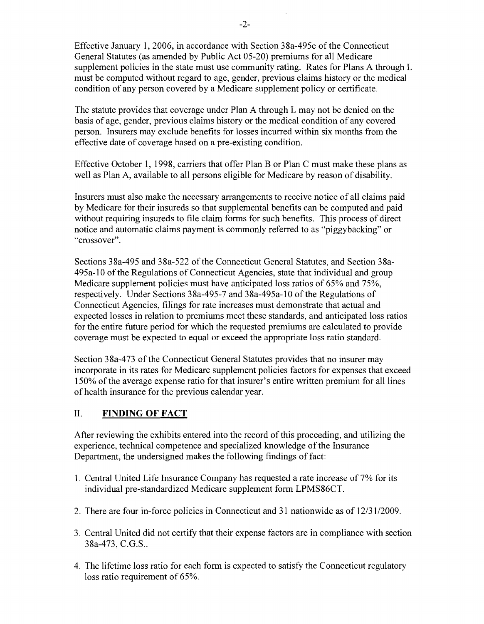Effective January 1,2006, in accordance with Section 38a-495c of the Connecticut General Statutes (as amended by Public Act 05-20) premiums for all Medicare supplement policies in the state must use community rating. Rates for Plans A through L must be computed without regard to age, gender, previous claims history or the medical condition of any person covered by a Medicare supplement policy or certificate.

The statute provides that coverage under Plan A through L may not be denied on the basis of age, gender, previous claims history or the medical condition of any covered person. Insurers may exclude benefits for losses incurred within six months from the effective date of coverage based on a pre-existing condition.

Effective October 1, 1998, carriers that offer Plan B or Plan C must make these plans as well as Plan A, available to all persons eligible for Medicare by reason of disability.

Insurers must also make the necessary arrangements to receive notice of all claims paid by Medicare for their insureds so that supplemental benefits can be computed and paid without requiring insureds to file claim forms for such benefits. This process of direct notice and automatic claims payment is commonly referred to as "piggybacking" or "crossover".

Sections 38a-495 and 38a-522 of the Connecticut General Statutes, and Section 38a-495a-l0 of the Regulations of Connecticut Agencies, state that individual and group Medicare supplement policies must have anticipated loss ratios of 65% and 75%, respectively. Under Sections 38a-495-7 and 38a-495a-l0 of the Regulations of Connecticut Agencies, filings for rate increases must demonstrate that actual and expected losses in relation to premiums meet these standards, and anticipated loss ratios for the entire future period for which the requested premiums are calculated to provide coverage must be expected to equal or exceed the appropriate loss ratio standard.

Section 38a-473 of the Connecticut General Statutes provides that no insurer may incorporate in its rates for Medicare supplement policies factors for expenses that exceed 150% of the average expense ratio for that insurer's entire written premium for all lines of health insurance for the previous calendar year.

### II. **FINDING OF FACT**

After reviewing the exhibits entered into the record of this proceeding, and utilizing the experience, technical competence and specialized knowledge of the Insurance Department, the undersigned makes the following findings of fact:

- 1. Central United Life Insurance Company has requested a rate increase of 7% for its individual pre-standardized Medicare supplement form LPMS86CT.
- 2. There are four in-force policies in Connecticut and 31 nationwide as of  $12/31/2009$ .
- 3. Central United did not certify that their expense factors are in compliance with section 38a-473, C.G.S..
- 4. The lifetime loss ratio for each form is expected to satisfy the Connecticut regulatory loss ratio requirement of 65%.